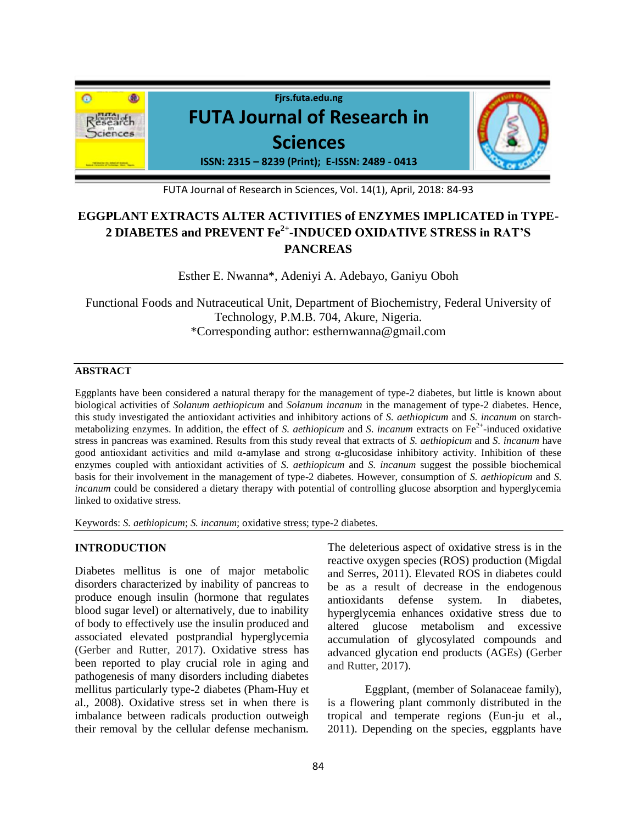

FUTA Journal of Research in Sciences, Vol. 14(1), April, 2018: 84-93

# **EGGPLANT EXTRACTS ALTER ACTIVITIES of ENZYMES IMPLICATED in TYPE-2 DIABETES and PREVENT Fe2+ -INDUCED OXIDATIVE STRESS in RAT'S PANCREAS**

Esther E. Nwanna\*, Adeniyi A. Adebayo, Ganiyu Oboh

Functional Foods and Nutraceutical Unit, Department of Biochemistry, Federal University of Technology, P.M.B. 704, Akure, Nigeria. \*Corresponding author: esthernwanna@gmail.com

### **ABSTRACT**

Eggplants have been considered a natural therapy for the management of type-2 diabetes, but little is known about biological activities of *Solanum aethiopicum* and *Solanum incanum* in the management of type-2 diabetes. Hence, this study investigated the antioxidant activities and inhibitory actions of *S. aethiopicum* and *S. incanum* on starchmetabolizing enzymes. In addition, the effect of *S. aethiopicum* and *S. incanum* extracts on  $Fe^{2+}$ -induced oxidative stress in pancreas was examined. Results from this study reveal that extracts of *S. aethiopicum* and *S. incanum* have good antioxidant activities and mild  $\alpha$ -amylase and strong  $\alpha$ -glucosidase inhibitory activity. Inhibition of these enzymes coupled with antioxidant activities of *S. aethiopicum* and *S. incanum* suggest the possible biochemical basis for their involvement in the management of type-2 diabetes. However, consumption of *S. aethiopicum* and *S. incanum* could be considered a dietary therapy with potential of controlling glucose absorption and hyperglycemia linked to oxidative stress.

Keywords: *S. aethiopicum*; *S. incanum*; oxidative stress; type-2 diabetes.

# **INTRODUCTION**

Diabetes mellitus is one of major metabolic disorders characterized by inability of pancreas to produce enough insulin (hormone that regulates blood sugar level) or alternatively, due to inability of body to effectively use the insulin produced and associated elevated postprandial hyperglycemia (Gerber and Rutter, 2017). Oxidative stress has been reported to play crucial role in aging and pathogenesis of many disorders including diabetes mellitus particularly type-2 diabetes (Pham-Huy et al., 2008). Oxidative stress set in when there is imbalance between radicals production outweigh their removal by the cellular defense mechanism.

The deleterious aspect of oxidative stress is in the reactive oxygen species (ROS) production (Migdal and Serres, 2011). Elevated ROS in diabetes could be as a result of decrease in the endogenous antioxidants defense system. In diabetes, hyperglycemia enhances oxidative stress due to altered glucose metabolism and excessive accumulation of glycosylated compounds and advanced glycation end products (AGEs) (Gerber and Rutter, 2017).

Eggplant, (member of Solanaceae family), is a flowering plant commonly distributed in the tropical and temperate regions (Eun-ju et al., 2011). Depending on the species, eggplants have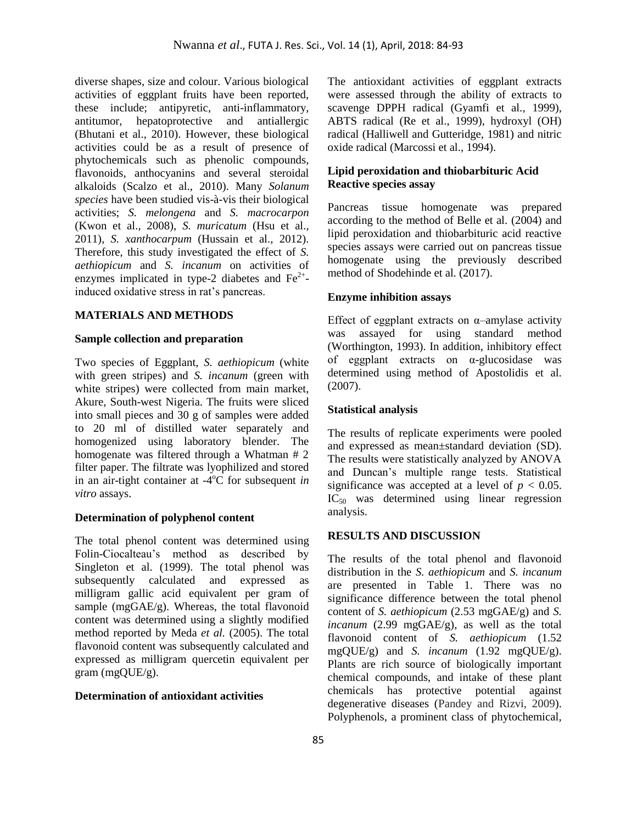diverse shapes, size and colour. Various biological activities of eggplant fruits have been reported, these include; antipyretic, anti-inflammatory, antitumor, hepatoprotective and antiallergic (Bhutani et al., 2010). However, these biological activities could be as a result of presence of phytochemicals such as phenolic compounds, flavonoids, anthocyanins and several steroidal alkaloids (Scalzo et al., 2010). Many *Solanum species* have been studied vis-à-vis their biological activities; *S. melongena* and *S. macrocarpon* (Kwon et al., 2008), *S. muricatum* (Hsu et al., 2011), *S. xanthocarpum* (Hussain et al., 2012). Therefore, this study investigated the effect of *S. aethiopicum* and *S. incanum* on activities of enzymes implicated in type-2 diabetes and  $\text{Fe}^{2+}$ induced oxidative stress in rat's pancreas.

### **MATERIALS AND METHODS**

#### **Sample collection and preparation**

Two species of Eggplant, *S. aethiopicum* (white with green stripes) and *S. incanum* (green with white stripes) were collected from main market, Akure, South-west Nigeria. The fruits were sliced into small pieces and 30 g of samples were added to 20 ml of distilled water separately and homogenized using laboratory blender. The homogenate was filtered through a Whatman # 2 filter paper. The filtrate was lyophilized and stored in an air-tight container at  $-4\degree C$  for subsequent *in vitro* assays.

#### **Determination of polyphenol content**

The total phenol content was determined using Folin-Ciocalteau's method as described by Singleton et al. (1999). The total phenol was subsequently calculated and expressed as milligram gallic acid equivalent per gram of sample (mgGAE/g). Whereas, the total flavonoid content was determined using a slightly modified method reported by Meda *et al.* (2005). The total flavonoid content was subsequently calculated and expressed as milligram quercetin equivalent per gram (mgQUE/g).

#### **Determination of antioxidant activities**

The antioxidant activities of eggplant extracts were assessed through the ability of extracts to scavenge DPPH radical (Gyamfi et al.*,* 1999), ABTS radical (Re et al., 1999), hydroxyl (OH) radical (Halliwell and Gutteridge, 1981) and nitric oxide radical (Marcossi et al., 1994).

### **Lipid peroxidation and thiobarbituric Acid Reactive species assay**

Pancreas tissue homogenate was prepared according to the method of Belle et al. (2004) and lipid peroxidation and thiobarbituric acid reactive species assays were carried out on pancreas tissue homogenate using the previously described method of Shodehinde et al. (2017).

#### **Enzyme inhibition assays**

Effect of eggplant extracts on  $\alpha$ –amylase activity was assayed for using standard method (Worthington, 1993). In addition, inhibitory effect of eggplant extracts on  $\alpha$ -glucosidase was determined using method of Apostolidis et al. (2007).

### **Statistical analysis**

The results of replicate experiments were pooled and expressed as mean±standard deviation (SD). The results were statistically analyzed by ANOVA and Duncan's multiple range tests. Statistical significance was accepted at a level of  $p < 0.05$ .  $IC_{50}$  was determined using linear regression analysis.

### **RESULTS AND DISCUSSION**

The results of the total phenol and flavonoid distribution in the *S. aethiopicum* and *S. incanum* are presented in Table 1. There was no significance difference between the total phenol content of *S. aethiopicum* (2.53 mgGAE/g) and *S. incanum* (2.99 mgGAE/g), as well as the total flavonoid content of *S. aethiopicum* (1.52 mgQUE/g) and *S. incanum* (1.92 mgQUE/g). Plants are rich source of biologically important chemical compounds, and intake of these plant chemicals has protective potential against degenerative diseases (Pandey and Rizvi, 2009). Polyphenols, a prominent class of phytochemical,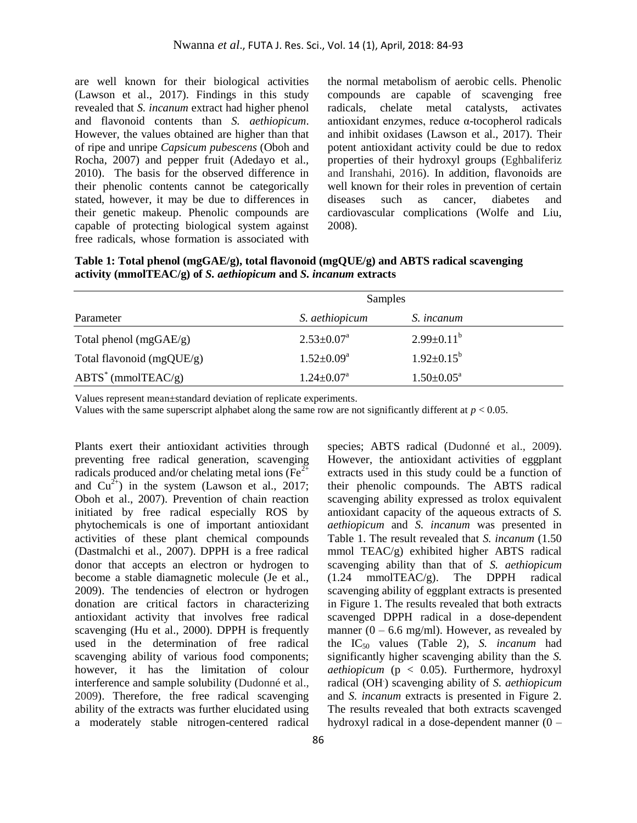are well known for their biological activities (Lawson et al., 2017). Findings in this study revealed that *S. incanum* extract had higher phenol and flavonoid contents than *S. aethiopicum*. However, the values obtained are higher than that of ripe and unripe *Capsicum pubescens* (Oboh and Rocha, 2007) and pepper fruit (Adedayo et al., 2010). The basis for the observed difference in their phenolic contents cannot be categorically stated, however, it may be due to differences in their genetic makeup. Phenolic compounds are capable of protecting biological system against free radicals, whose formation is associated with

the normal metabolism of aerobic cells. Phenolic compounds are capable of scavenging free radicals, chelate metal catalysts, activates antioxidant enzymes, reduce α-tocopherol radicals and inhibit oxidases (Lawson et al., 2017). Their potent antioxidant activity could be due to redox properties of their hydroxyl groups (Eghbaliferiz and Iranshahi, 2016). In addition, flavonoids are well known for their roles in prevention of certain diseases such as cancer, diabetes and cardiovascular complications (Wolfe and Liu, 2008).

**Table 1: Total phenol (mgGAE/g), total flavonoid (mgQUE/g) and ABTS radical scavenging activity (mmolTEAC/g) of** *S. aethiopicum* **and** *S. incanum* **extracts** 

| Parameter                 | Samples                      |                            |  |
|---------------------------|------------------------------|----------------------------|--|
|                           | S. aethiopicum               | S. <i>incanum</i>          |  |
| Total phenol $(mgGAE/g)$  | $2.53 \pm 0.07^{\text{a}}$   | $2.99 \pm 0.11^b$          |  |
| Total flavonoid (mgQUE/g) | $1.52 \pm 0.09^{\mathrm{a}}$ | $1.92 \pm 0.15^{\rm b}$    |  |
| $ABTS^*$ (mmolTEAC/g)     | $1.24 \pm 0.07^{\text{a}}$   | $1.50 \pm 0.05^{\text{a}}$ |  |

Values represent mean±standard deviation of replicate experiments.

Values with the same superscript alphabet along the same row are not significantly different at *p* < 0.05.

Plants exert their antioxidant activities through preventing free radical generation, scavenging radicals produced and/or chelating metal ions ( $Fe<sup>2+</sup>$ ) and  $Cu^{2+}$ ) in the system (Lawson et al., 2017; Oboh et al., 2007). Prevention of chain reaction initiated by free radical especially ROS by phytochemicals is one of important antioxidant activities of these plant chemical compounds (Dastmalchi et al., 2007). DPPH is a free radical donor that accepts an electron or hydrogen to become a stable diamagnetic molecule (Je et al., 2009). The tendencies of electron or hydrogen donation are critical factors in characterizing antioxidant activity that involves free radical scavenging (Hu et al., 2000). DPPH is frequently used in the determination of free radical scavenging ability of various food components; however, it has the limitation of colour interference and sample solubility (Dudonné et al., 2009). Therefore, the free radical scavenging ability of the extracts was further elucidated using a moderately stable nitrogen-centered radical

species; ABTS radical (Dudonné et al., 2009). However, the antioxidant activities of eggplant extracts used in this study could be a function of their phenolic compounds. The ABTS radical scavenging ability expressed as trolox equivalent antioxidant capacity of the aqueous extracts of *S. aethiopicum* and *S. incanum* was presented in Table 1. The result revealed that *S. incanum* (1.50 mmol TEAC/g) exhibited higher ABTS radical scavenging ability than that of *S. aethiopicum* (1.24 mmolTEAC/g). The DPPH radical (1.24 mmolTEAC/g). The DPPH radical scavenging ability of eggplant extracts is presented in Figure 1. The results revealed that both extracts scavenged DPPH radical in a dose-dependent manner  $(0 - 6.6$  mg/ml). However, as revealed by the IC<sup>50</sup> values (Table 2), *S. incanum* had significantly higher scavenging ability than the *S. aethiopicum* (p < 0.05). Furthermore, hydroxyl radical (OH. ) scavenging ability of *S. aethiopicum* and *S. incanum* extracts is presented in Figure 2. The results revealed that both extracts scavenged hydroxyl radical in a dose-dependent manner (0 –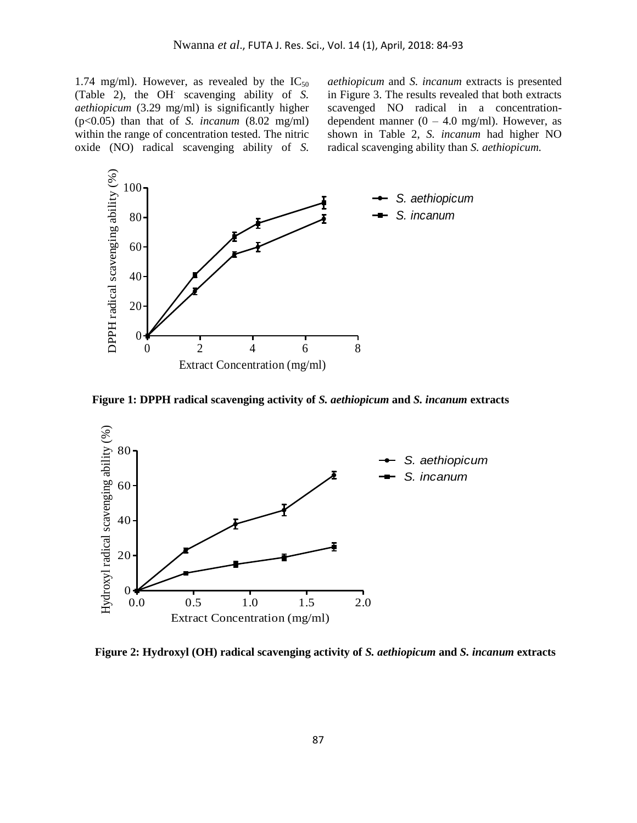1.74 mg/ml). However, as revealed by the  $IC_{50}$ (Table 2), the OH. scavenging ability of *S. aethiopicum* (3.29 mg/ml) is significantly higher (p<0.05) than that of *S. incanum* (8.02 mg/ml) within the range of concentration tested. The nitric oxide (NO) radical scavenging ability of *S.*

*aethiopicum* and *S. incanum* extracts is presented in Figure 3. The results revealed that both extracts scavenged NO radical in a concentrationdependent manner  $(0 - 4.0 \text{ mg/ml})$ . However, as shown in Table 2, *S. incanum* had higher NO radical scavenging ability than *S. aethiopicum.*



**Figure 1: DPPH radical scavenging activity of** *S. aethiopicum* **and** *S. incanum* **extracts**



**Figure 2: Hydroxyl (OH) radical scavenging activity of** *S. aethiopicum* **and** *S. incanum* **extracts**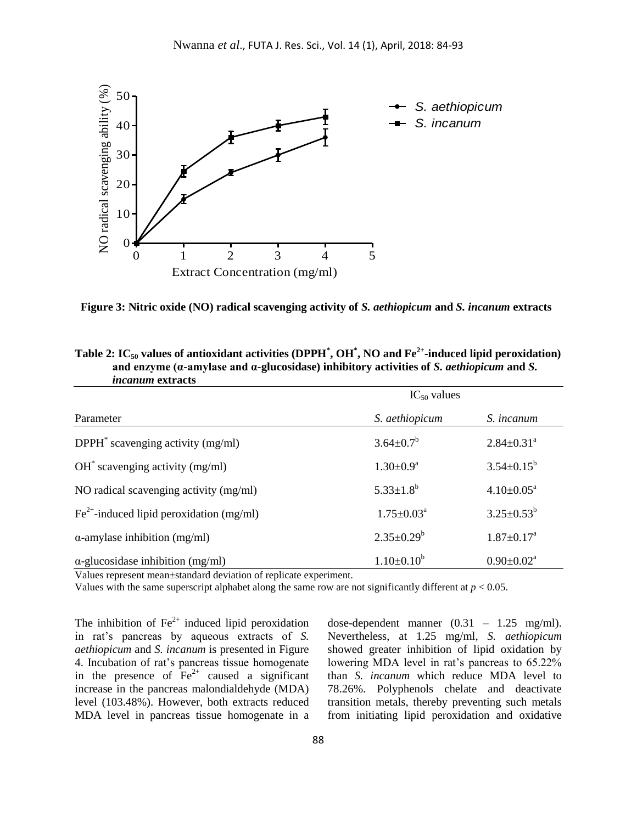

**Figure 3: Nitric oxide (NO) radical scavenging activity of** *S. aethiopicum* **and** *S. incanum* **extracts**

| <i>nounan</i> exuacis                       |                            |                              |  |
|---------------------------------------------|----------------------------|------------------------------|--|
|                                             | $IC_{50}$ values           |                              |  |
| Parameter                                   | S. aethiopicum             | S. <i>incanum</i>            |  |
| $DPPH^*$ scavenging activity (mg/ml)        | $3.64 \pm 0.7^b$           | $2.84 \pm 0.31$ <sup>a</sup> |  |
| $OH^*$ scavenging activity (mg/ml)          | $1.30 \pm 0.9^{\text{a}}$  | $3.54 \pm 0.15^b$            |  |
| NO radical scavenging activity (mg/ml)      | $5.33 \pm 1.8^b$           | $4.10 \pm 0.05^a$            |  |
| $Fe2+$ -induced lipid peroxidation (mg/ml)  | $1.75 \pm 0.03^{\text{a}}$ | $3.25 \pm 0.53^b$            |  |
| $\alpha$ -amylase inhibition (mg/ml)        | $2.35 \pm 0.29^b$          | $1.87 \pm 0.17^a$            |  |
| $\alpha$ -glucosidase inhibition (mg/ml)    | $1.10\pm0.10^b$            | $0.90 \pm 0.02^a$            |  |
| $\mathbf{v}$<br>$\mathcal{C} = \mathcal{C}$ |                            |                              |  |

| Table 2: IC <sub>50</sub> values of antioxidant activities (DPPH <sup>*</sup> , OH <sup>*</sup> , NO and Fe <sup>2+</sup> -induced lipid peroxidation) |
|--------------------------------------------------------------------------------------------------------------------------------------------------------|
| and enzyme ( $\alpha$ -amylase and $\alpha$ -glucosidase) inhibitory activities of S. <i>aethiopicum</i> and S.                                        |
| <i>incanum</i> extracts                                                                                                                                |

Values represent mean±standard deviation of replicate experiment.

Values with the same superscript alphabet along the same row are not significantly different at *p* < 0.05.

The inhibition of  $\text{Fe}^{2+}$  induced lipid peroxidation in rat's pancreas by aqueous extracts of *S. aethiopicum* and *S. incanum* is presented in Figure 4. Incubation of rat's pancreas tissue homogenate in the presence of  $Fe^{2+}$  caused a significant increase in the pancreas malondialdehyde (MDA) level (103.48%). However, both extracts reduced MDA level in pancreas tissue homogenate in a

dose-dependent manner (0.31 – 1.25 mg/ml). Nevertheless, at 1.25 mg/ml, *S. aethiopicum* showed greater inhibition of lipid oxidation by lowering MDA level in rat's pancreas to 65.22% than *S. incanum* which reduce MDA level to 78.26%. Polyphenols chelate and deactivate transition metals, thereby preventing such metals from initiating lipid peroxidation and oxidative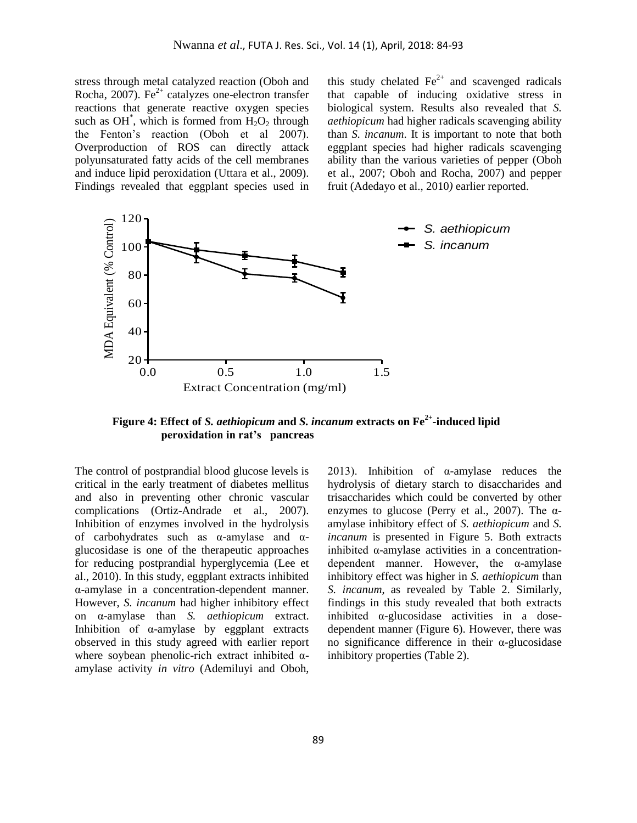stress through metal catalyzed reaction (Oboh and Rocha, 2007). Fe<sup> $2+$ </sup> catalyzes one-electron transfer reactions that generate reactive oxygen species such as  $OH^*$ , which is formed from  $H_2O_2$  through the Fenton's reaction (Oboh et al 2007). Overproduction of ROS can directly attack polyunsaturated fatty acids of the cell membranes and induce lipid peroxidation (Uttara et al., 2009). Findings revealed that eggplant species used in this study chelated  $Fe^{2+}$  and scavenged radicals that capable of inducing oxidative stress in biological system. Results also revealed that *S. aethiopicum* had higher radicals scavenging ability than *S. incanum*. It is important to note that both eggplant species had higher radicals scavenging ability than the various varieties of pepper (Oboh et al., 2007; Oboh and Rocha, 2007) and pepper fruit (Adedayo et al., 2010*)* earlier reported.



**Figure 4: Effect of** *S. aethiopicum* **and** *S. incanum* **extracts on Fe2+ -induced lipid peroxidation in rat's pancreas**

The control of postprandial blood glucose levels is critical in the early treatment of diabetes mellitus and also in preventing other chronic vascular complications (Ortiz-Andrade et al., 2007). Inhibition of enzymes involved in the hydrolysis of carbohydrates such as α-amylase and αglucosidase is one of the therapeutic approaches for reducing postprandial hyperglycemia (Lee et al., 2010). In this study, eggplant extracts inhibited α-amylase in a concentration-dependent manner. However, *S. incanum* had higher inhibitory effect on α-amylase than *S. aethiopicum* extract. Inhibition of  $\alpha$ -amylase by eggplant extracts observed in this study agreed with earlier report where soybean phenolic-rich extract inhibited  $\alpha$ amylase activity *in vitro* (Ademiluyi and Oboh,

2013). Inhibition of  $\alpha$ -amylase reduces the hydrolysis of dietary starch to disaccharides and trisaccharides which could be converted by other enzymes to glucose (Perry et al., 2007). The  $\alpha$ amylase inhibitory effect of *S. aethiopicum* and *S. incanum* is presented in Figure 5. Both extracts inhibited  $\alpha$ -amylase activities in a concentrationdependent manner. However, the α-amylase inhibitory effect was higher in *S. aethiopicum* than *S. incanum*, as revealed by Table 2. Similarly, findings in this study revealed that both extracts inhibited  $\alpha$ -glucosidase activities in a dosedependent manner (Figure 6). However, there was no significance difference in their α-glucosidase inhibitory properties (Table 2).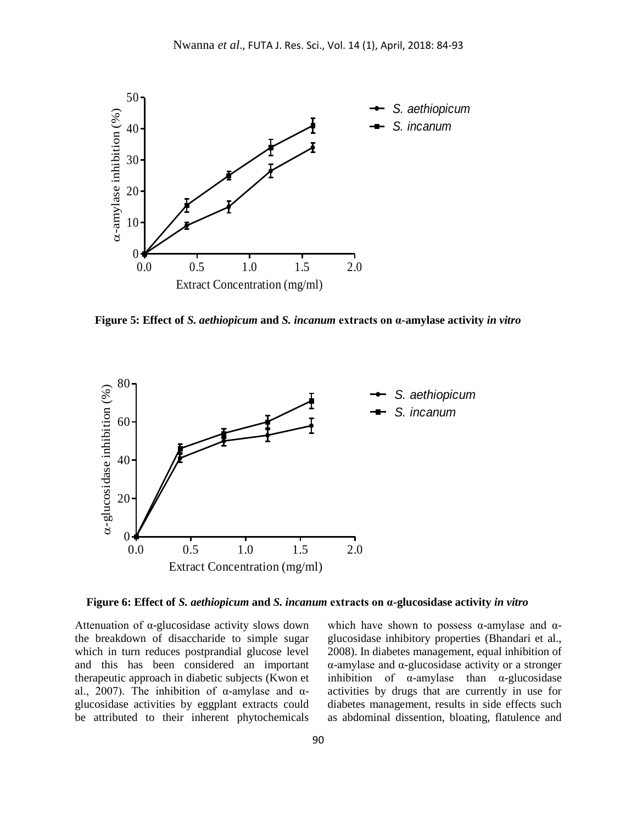

**Figure 5: Effect of** *S. aethiopicum* **and** *S. incanum* **extracts on α-amylase activity** *in vitro*



**Figure 6: Effect of** *S. aethiopicum* **and** *S. incanum* **extracts on α-glucosidase activity** *in vitro*

Attenuation of α-glucosidase activity slows down the breakdown of disaccharide to simple sugar which in turn reduces postprandial glucose level and this has been considered an important therapeutic approach in diabetic subjects (Kwon et al., 2007). The inhibition of α-amylase and  $α$ glucosidase activities by eggplant extracts could be attributed to their inherent phytochemicals

which have shown to possess  $\alpha$ -amylase and  $\alpha$ glucosidase inhibitory properties (Bhandari et al., 2008). In diabetes management, equal inhibition of α-amylase and α-glucosidase activity or a stronger inhibition of  $\alpha$ -amylase than  $\alpha$ -glucosidase activities by drugs that are currently in use for diabetes management, results in side effects such as abdominal dissention, bloating, flatulence and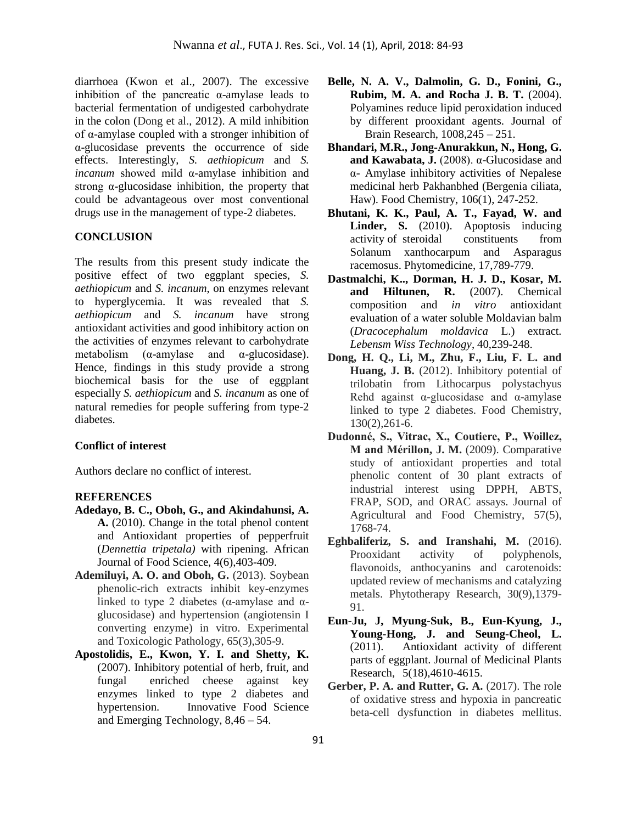diarrhoea (Kwon et al., 2007). The excessive inhibition of the pancreatic  $\alpha$ -amylase leads to bacterial fermentation of undigested carbohydrate in the colon (Dong et al., 2012). A mild inhibition of α-amylase coupled with a stronger inhibition of α-glucosidase prevents the occurrence of side effects. Interestingly, *S. aethiopicum* and *S. incanum* showed mild α-amylase inhibition and strong  $\alpha$ -glucosidase inhibition, the property that could be advantageous over most conventional drugs use in the management of type-2 diabetes.

# **CONCLUSION**

The results from this present study indicate the positive effect of two eggplant species, *S. aethiopicum* and *S. incanum*, on enzymes relevant to hyperglycemia. It was revealed that *S. aethiopicum* and *S. incanum* have strong antioxidant activities and good inhibitory action on the activities of enzymes relevant to carbohydrate metabolism  $(\alpha$ -amylase and  $\alpha$ -glucosidase). Hence, findings in this study provide a strong biochemical basis for the use of eggplant especially *S. aethiopicum* and *S. incanum* as one of natural remedies for people suffering from type-2 diabetes.

### **Conflict of interest**

Authors declare no conflict of interest.

### **REFERENCES**

- **Adedayo, B. C., Oboh, G., and Akindahunsi, A. A.** (2010). Change in the total phenol content and Antioxidant properties of pepperfruit (*Dennettia tripetala)* with ripening. African Journal of Food Science, 4(6),403-409.
- **Ademiluyi, A. O. and Oboh, G.** (2013). Soybean phenolic-rich extracts inhibit key-enzymes linked to type 2 diabetes (α-amylase and αglucosidase) and hypertension (angiotensin I converting enzyme) in vitro. Experimental and Toxicologic Pathology, 65(3),305-9.
- **Apostolidis, E., Kwon, Y. I. and Shetty, K.** (2007). Inhibitory potential of herb, fruit, and fungal enriched cheese against key enzymes linked to type 2 diabetes and hypertension. Innovative Food Science and Emerging Technology, 8,46 – 54.
- **Belle, N. A. V., Dalmolin, G. D., Fonini, G., Rubim, M. A. and Rocha J. B. T.** (2004). Polyamines reduce lipid peroxidation induced by different prooxidant agents. Journal of Brain Research, 1008,245 – 251.
- **Bhandari, M.R., Jong-Anurakkun, N., Hong, G. and Kawabata, J.** (2008). α-Glucosidase and α- Amylase inhibitory activities of Nepalese medicinal herb Pakhanbhed (Bergenia ciliata, Haw). Food Chemistry, 106(1), 247-252.
- **Bhutani, K. K., Paul, A. T., Fayad, W. and Linder, S.** (2010). Apoptosis inducing activity of steroidal constituents from Solanum xanthocarpum and Asparagus racemosus. Phytomedicine, 17,789-779.
- **Dastmalchi, K.., Dorman, H. J. D., Kosar, M. and Hiltunen, R.** (2007). Chemical composition and *in vitro* antioxidant evaluation of a water soluble Moldavian balm (*Dracocephalum moldavica* L.) extract*. Lebensm Wiss Technology*, 40,239-248.
- **Dong, H. Q., Li, M., Zhu, F., Liu, F. L. and Huang, J. B.** (2012). Inhibitory potential of trilobatin from Lithocarpus polystachyus Rehd against α-glucosidase and α-amylase linked to type 2 diabetes. Food Chemistry, 130(2),261-6.
- Dudonné, S., Vitrac, X., Coutiere, P., Woillez, **M** and Mérillon, J. M. (2009). Comparative study of antioxidant properties and total phenolic content of 30 plant extracts of industrial interest using DPPH, ABTS, FRAP, SOD, and ORAC assays. Journal of Agricultural and Food Chemistry, 57(5), 1768-74.
- **Eghbaliferiz, S. and Iranshahi, M.** (2016). Prooxidant activity of polyphenols, flavonoids, anthocyanins and carotenoids: updated review of mechanisms and catalyzing metals. Phytotherapy Research, 30(9),1379- 91.
- **Eun-Ju, J, Myung-Suk, B., Eun-Kyung, J., Young-Hong, J. and Seung-Cheol, L.** (2011). Antioxidant activity of different parts of eggplant. Journal of Medicinal Plants Research, 5(18),4610-4615.
- **Gerber, P. A. and Rutter, G. A.** (2017). The role of oxidative stress and hypoxia in pancreatic beta-cell dysfunction in diabetes mellitus.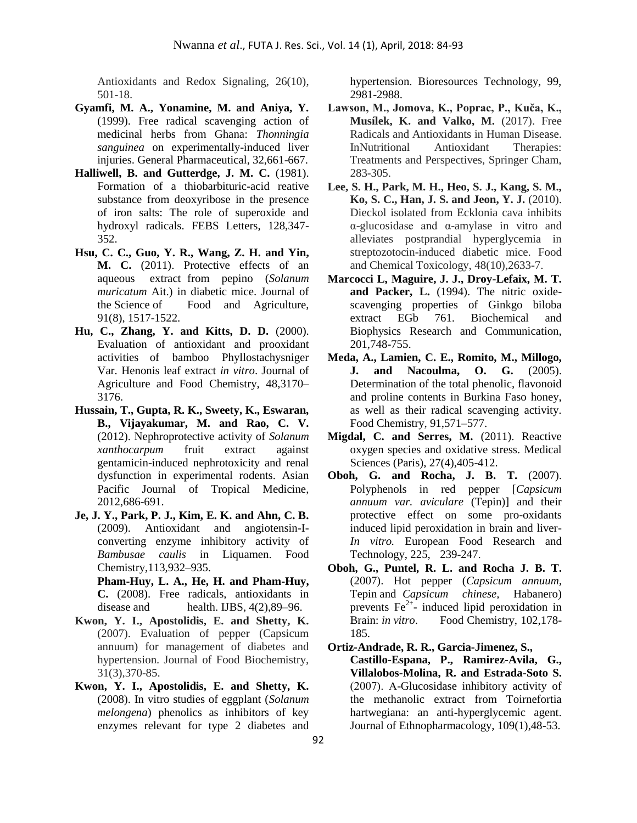Antioxidants and Redox Signaling, 26(10), 501-18.

- **Gyamfi, M. A., Yonamine, M. and Aniya, Y.** (1999). Free radical scavenging action of medicinal herbs from Ghana: *Thonningia sanguinea* on experimentally-induced liver injuries. General Pharmaceutical, 32,661-667.
- **Halliwell, B. and Gutterdge, J. M. C.** (1981). Formation of a thiobarbituric-acid reative substance from deoxyribose in the presence of iron salts: The role of superoxide and hydroxyl radicals. FEBS Letters, 128,347- 352.
- **Hsu, C. C., Guo, Y. R., Wang, Z. H. and Yin, M. C.** (2011). Protective effects of an aqueous extract from pepino (*Solanum muricatum* Ait.) in diabetic mice. Journal of the Science of Food and Agriculture, 91(8), 1517-1522.
- **Hu, C., Zhang, Y. and Kitts, D. D.** (2000). Evaluation of antioxidant and prooxidant activities of bamboo Phyllostachysniger Var. Henonis leaf extract *in vitro*. Journal of Agriculture and Food Chemistry, 48,3170– 3176.
- **Hussain, T., Gupta, R. K., Sweety, K., Eswaran, B., Vijayakumar, M. and Rao, C. V.** (2012). Nephroprotective activity of *Solanum xanthocarpum* fruit extract against gentamicin-induced nephrotoxicity and renal dysfunction in experimental rodents. Asian Pacific Journal of Tropical Medicine, 2012,686-691.
- **Je, J. Y., Park, P. J., Kim, E. K. and Ahn, C. B.** (2009). Antioxidant and angiotensin-Iconverting enzyme inhibitory activity of *Bambusae caulis* in Liquamen. Food Chemistry,113,932–935.

**Pham-Huy, L. A., He, H. and Pham-Huy, C.** (2008). Free radicals, antioxidants in disease and health. IJBS, 4(2), 89–96.

- **Kwon, Y. I., Apostolidis, E. and Shetty, K.** (2007). Evaluation of pepper (Capsicum annuum) for management of diabetes and hypertension. Journal of Food Biochemistry, 31(3),370-85.
- **Kwon, Y. I., Apostolidis, E. and Shetty, K.**  (2008). In vitro studies of eggplant (*Solanum melongena*) phenolics as inhibitors of key enzymes relevant for type 2 diabetes and

hypertension. Bioresources Technology, 99, 2981-2988.

- Lawson, M., Jomova, K., Poprac, P., Kuča, K., **Musílek, K. and Valko, M.** (2017). Free Radicals and Antioxidants in Human Disease. InNutritional Antioxidant Therapies: Treatments and Perspectives, Springer Cham, 283-305.
- **Lee, S. H., Park, M. H., Heo, S. J., Kang, S. M., Ko, S. C., Han, J. S. and Jeon, Y. J.** (2010). Dieckol isolated from Ecklonia cava inhibits α-glucosidase and α-amylase in vitro and alleviates postprandial hyperglycemia in streptozotocin-induced diabetic mice. Food and Chemical Toxicology, 48(10),2633-7.
- **Marcocci L, Maguire, J. J., Droy-Lefaix, M. T. and Packer, L.** (1994). The nitric oxidescavenging properties of Ginkgo biloba extract EGb 761. Biochemical and Biophysics Research and Communication, 201,748-755.
- **Meda, A., Lamien, C. E., Romito, M., Millogo, J. and Nacoulma, O. G.** (2005). Determination of the total phenolic, flavonoid and proline contents in Burkina Faso honey, as well as their radical scavenging activity. Food Chemistry, 91,571–577.
- **Migdal, C. and Serres, M.** (2011). Reactive oxygen species and oxidative stress. Medical Sciences (Paris), 27(4),405-412.
- **Oboh, G. and Rocha, J. B. T.** (2007). Polyphenols in red pepper [*Capsicum annuum var. aviculare* (Tepin)] and their protective effect on some pro-oxidants induced lipid peroxidation in brain and liver-*In vitro.* European Food Research and Technology, 225, 239-247.
- **Oboh, G., Puntel, R. L. and Rocha J. B. T.** (2007). Hot pepper (*Capsicum annuum,*  Tepin and *Capsicum chinese,* Habanero) prevents  $Fe<sup>2+</sup>$ - induced lipid peroxidation in Brain: *in vitro*. Food Chemistry, 102,178-185.

**Ortiz-Andrade, R. R., Garcia-Jimenez, S., Castillo-Espana, P., Ramirez-Avila, G., Villalobos-Molina, R. and Estrada-Soto S.** (2007). Α-Glucosidase inhibitory activity of